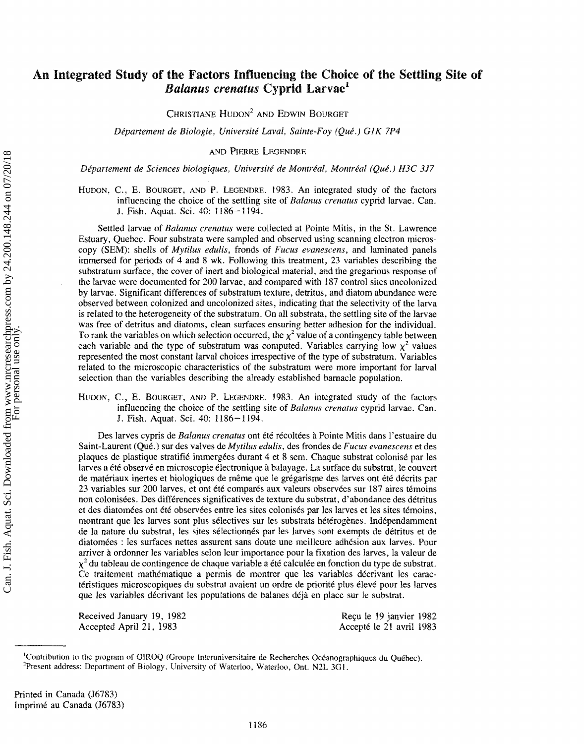# **An Integrated Study of the Factors Influencing the Choice of the Settling Site of**  *Balanus crenatus* **Cyprid Larvae<sup>1</sup>**

CHRISTIANE HUDON<sup>2</sup> AND EDWIN BOURGET

*Dipartement* de **Bfokogie,** Ulaiversirt LQVQI, Sairate-Foy **(QuP.)** *CIK* 7P4

AND PIERRE LEGENDRE

Département de Sciences biologiques, Université de Montréal, Montréal (Oué.) H3C 3J7

HUDON, C., E. BOURGET, AND P. LEGENDRE. 1983. An integrated study of the factors influencing the choice of the settling site of Balanus crenatus cyprid larvae. Can. **J.** Fish. Aquat. Sci. 40: 1186-1194.

Settled larvae of *Balanus crenatus* were collected at Pointe Mitis, in the St. Lawrence Estuary, Quebec. Four substrata were sampled and observed using scanning electron microscopy (SEM): shells of *Mytilus edulis*, fronds of *Fucus evanescens*, and laminated panels immersed for perids sf 4 and 8 wk. Following this treatment, **23** variables describing the substratum surface, the cover of inert and biological material, and the gregarious response of the larvae were documented for 200 larvae. and compared with **187** control sites uncolonized by larvae. Significant differences of substratum texture, detritus, and diatom abundance were observed between colonized and uncolonized sites, indicating that the selectivity of the larva is related to the heterogeneity of the substratum. On all substrata, the settling site of the larvae was free of detritus and diatoms, clean surfaces enswing better adhesion for the individual. To rank the variables on which selection occurred, the  $\chi^2$  value of a contingency table between each variable and the type of substratum was computed. Variables carrying low  $x^2$  values represented the most constant larval choices irrespective of the type of substratum. Variables related to the microscopic characteristics of the substratum were more important for larval selection than the variables describing the already established barnacle population.

**HUDON,** *C.,* **E.** BOURGET, AND P. LEGENDRE. 1983. An integrated study of the hctors influencing the choice of the settling site of *Balanus crenatus* cyprid larvae. Can. **J.** Fish. Aquat. **Sci.** 40: 1186-1194.

Des larves cypris de *Balanus crenatus* ont été récoltées à Pointe Mitis dans l'estuaire du Saint-Laurent (Qué.) sur des valves de *Mytilus edulis*, des frondes de *Fucus evanescens* et des plaques de plastique stratifié immergées durant 4 et 8 sem. Chaque substrat colonisé par les larves a été observé en microscopie électronique à balayage. La surface du substrat, le couvert de matériaux inertes et biologiques de même que le grégarisme des larves ont été décrits par 23 variables sur 200 larves, et ont été comparés aux valeurs observées sur 187 aires témoins non colonisees. Des differences significatives **de** texture du substrat, d'abondarace des detritus et des diatomées ont été observées entre les sites colonisés par les larves et les sites témoins, montrant que les larves sont plus sélectives sur les substrats hétérogènes. Indépendamment de la nature du substrat, les sites sélectionnés par les larves sont exempts de détritus et de diatomées : les surfaces nettes assurent sans doute une meilleure adhésion aux larves. Pour arriver à ordonner les variables selon leur importance pour la fixation des larves, la valeur de  $\chi^2$  du tableau de contingence de chaque variable a été calculée en fonction du type de substrat. Ce traitement mathématique a permis de montrer que les variables décrivant les caractéristiques microscopiques du substrat avaient un ordre de priorité plus élevé pour les larves que les variables décrivant les populations de balanes déjà en place sur le substrat.

Received January 19, 1982 Accepted April 21, 1983

Reçu le 19 janvier 1982 Accept6 le 21 avril **I983** 

<sup>&#</sup>x27;Contribution to the program of GIROQ (Groupe Interuniversitaire de Recherches Océanographiques du Québec). <sup>2</sup>Present address: Department of Biology, University of Waterloo, Waterloo, Ont. N2L 3G1.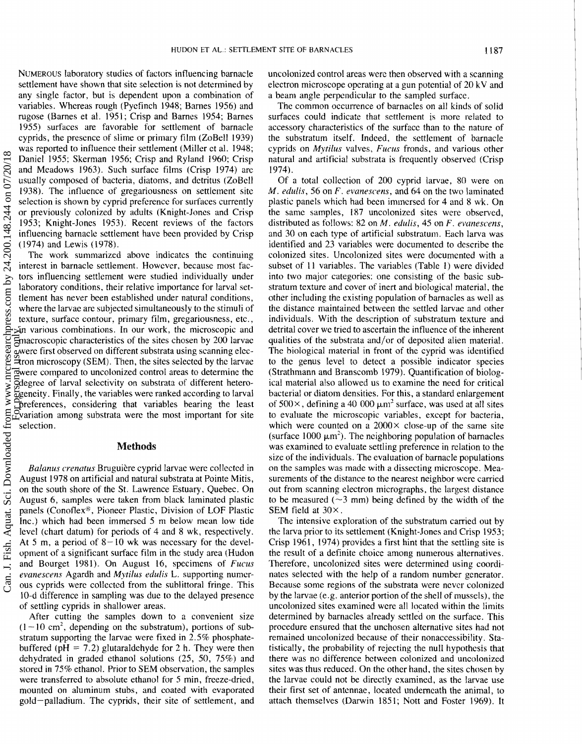NUMEROUS laboratory studies of factors influencing barnacle settlement have shown that site selection is not determined by any single factor, but is dependent upon a combination of variables. Whereas rough (Pyefinch 1948; Barnes 1956) and rugose (Barnes et al. 1951: Crisp and Barnes 1954; Barnes 1955) surfaces are favorable for settlement of barnacle cyprids, the presence of slime or primary film (ZoBell 1939) cyprids, the presence of slime or primary filrn (ZoBell 1939) was reported to influence their settlement (Miller et al. 1948; Daniel 1955: Skerman 1956; Crisp and Ryland 1960: Crisp and Meadows 1963). Such surface films (Crisp 1974) are usually composed of bacteria, diatoms, and detritus (ZoBelI 1938). 'The influence of gregariousness on settlement site selection is shown by cyprid preference for surfaces currently or previousfy colonized by adults (Knight-Jones and Crisp 1953; Knight-Jones 1953). Recent reviews of the factors influencing barnacle settlement have been provided by Crisp (1974) and Lewis ( 1978).

The work summarized above indicates the continuing interest in barnacle settlement. However, because most factors influencing settlement were studied individually under laboratory conditions, their relative importance for larval settlement has never been established under natural conditions, where the larvae are subjected simultaneously to the stimuli of texture, surface contour. primary film, gregariousness, etc., in various combinations. **Ira** our work, the microscopic and macroscopic characteristics of the sites chosen by 200 larvae were first observed on different substrata using scanning electron microscopy **(SEMI.** Then, the sites selected by thc larvae were compared to uncolonized control areas to determine the degree of larval selectivity on substrata of different heterogeneity. Finally, the variables were ranked according to larval preferences, considering that variables bearing the least variation among substrata were the most important for site selection.

## **Methods**

*Balanus crenatus* Bruguière cyprid larvae were collected in August 1978 on artificial and natural substrata at Points Mitis, on the south shore of the St. Lawrence Estuary. Quebec. On August 6, samples were taken from black laminated plastic panels (Conoflex<sup>®</sup>, Pioneer Plastic, Division of LOF Plastic Inc.) which had been immersed 5 rn below mean low tide level (chart datum) for periods of 4 and 8 wk, respectively. At *5* **rn,** a period of 8- **10** wk was necessary for the development of a significant surface film in the study area (Hudon and Bourget 1981). On August 16, specimens of *Fucus evartescens* Agardh and *Mytibus* **edula's** L. supporting numerous cyprids were collected from the sublittoral fringe. This 10-d difference in sampling was due to the delayed presence of settling cyprids in shallower areas.

After cutting the samples down to a convenient size  $(1 - 10 \text{ cm}^2, \text{ depending on the substratum})$ , portions of substratum supporting the larvae were fixed in 2.5% phosphatebuffered ( $pH = 7.2$ ) glutaraldehyde for 2 h. They were then dehydrated in graded ethanol sollutions (25, 50, 75%) and stored in 75% ethanol. Prior to SEM observation, the samples were transferred to absolute ethanol for *5* min, freeze-dried, mounted on aluminum stubs, and coated with evaporated gold-palladium. The cyprids, their site of settlement, and

uncolonized control areas were then observed with a scanning electron microscope operating at a gun potential of 20 kV and a beam angle perpendicular to the sampled surface.

The common occurrence of barnacles on all kinds of solid surfaces could indicate that settlement is more related to accessory characteristics of the surface than to the nature of the substratum itself. Indeed, the settlement of barnacle cyprids on *Mytilus* valves, *Fucus* fronds, and various other natural and artificial substrata is frequently observed (Crisp 1974).

Of a total collection of 200 cyprid larvae, 80 were on *M. edulis, 56 on F. evanescens, and 64 on the two laminated* plastic panels which had been immersed for 4 and 8 wk. On the same samples, 187 uncolonized sites were observed, distributed as follows: 82 on *M. edulis*, 45 on *F. evanescens*, and 30 on each type of artificial substratum. Each larva was identified and 23 variables were documented to describe the colonized sites. Uncolanized sites were documented with a subset of 11 variables. The variables (Table 1) were divided into two major categories: one consisting of the basic substratum texture and cover of inert and biological material, the other including the existing population of barnacles as well as the distance maintained between the settled larvae and other individuals. With the description of substratum texture and detritai cover we tried to ascertain the influence of the inherent qualities of the substrata and/or of deposited alien material. The biological material in front of the cyprid was identified to the genus level to detect a possible indicator species (Strathmann and Branscomb 1979). Quantification of biological material also allowed us to examine the need for critical bacterial or diatom densities. For this, a standard enlargement of  $500\times$ , defining a 40 000  $\mu$ m<sup>2</sup> surface, was used at all sites to evaluate the microscopic variables. except for bacteria, which were counted on a  $2000 \times$  close-up of the same site (surface 1000  $\mu$ m<sup>2</sup>). The neighboring population of barnacles was examined to evaluate settling preference in relation to the size of the individuals. The evaluation of barnacle populations on the samples was made with a dissecting microscope. Measurements of the distance to the nearest neighbor were carried out from scanning electron micrographs, the largest distance to be measured ( $\sim$ 3 mm) being defined by the width of the SEM field at 30 $\times$ .

The intensive exploration of the substratum carried out by the larva prior to its settlement (Knight-Jones and Crisp 1953; Crisp 1961, 1974) provides a first hint that the settling site is the result of a definite choice among numerous alternatives. Therefore, uncolonized sites were determined using coordinates selected with the help of a random number generator. Becausc some regions of the substrata were never colonized by the larvae (e.g. anterior portion of the shell of mussels), the uncolonized sites examined were all located within the limits determined by barnacles already settled on the surface. This procedure ensured that the unchosen alternative sites had not remained uncolonized because of their nonaccessibility. Statistically, the probability of rejecting the null hypothesis that there was no difference between colonized and uncolonized sites was thus reduced. On the other hand, the sites chosen by the larvae could not be directly examined, as the larvae use their first set of antennae, located underneath the animal, to attach themselves (Darwin 1851; Nott and Foster 1969). **It**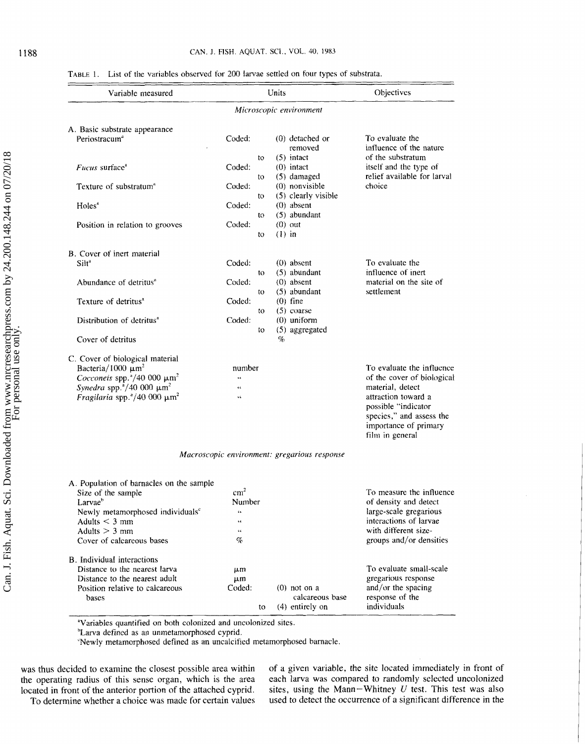### **TABLE 1.** List of the variables observed for 200 larvae settled on four types of substrata.

| Variable measured                                                                                                                                                                                                                    |                           | Units                                                | Objectives                                                                                                                                                                                        |  |
|--------------------------------------------------------------------------------------------------------------------------------------------------------------------------------------------------------------------------------------|---------------------------|------------------------------------------------------|---------------------------------------------------------------------------------------------------------------------------------------------------------------------------------------------------|--|
|                                                                                                                                                                                                                                      |                           | Microscopic environment                              |                                                                                                                                                                                                   |  |
| A. Basic substrate appearance                                                                                                                                                                                                        |                           |                                                      |                                                                                                                                                                                                   |  |
| Periostracum <sup>a</sup>                                                                                                                                                                                                            | Coded:                    | $(0)$ detached or<br>removed                         | To evaluate the<br>influence of the nature                                                                                                                                                        |  |
| Fucus surface <sup>a</sup>                                                                                                                                                                                                           | to<br>Coded:              | $(5)$ intact<br>$(0)$ intact                         | of the substratum<br>itself and the type of<br>relief available for larval                                                                                                                        |  |
| Texture of substratum <sup>®</sup>                                                                                                                                                                                                   | to<br>Coded:<br>to        | (5) damaged<br>(0) nonvisible<br>(5) clearly visible | choice                                                                                                                                                                                            |  |
| Holes <sup>*</sup>                                                                                                                                                                                                                   | Coded:<br>to              | $(0)$ absent<br>(5) abundant                         |                                                                                                                                                                                                   |  |
| Position in relation to grooves                                                                                                                                                                                                      | Coded:<br>to              | $(0)$ out<br>$(1)$ in                                |                                                                                                                                                                                                   |  |
| B. Cover of inert material                                                                                                                                                                                                           |                           |                                                      |                                                                                                                                                                                                   |  |
| Silt <sup>a</sup>                                                                                                                                                                                                                    | Coded:<br>to              | $(0)$ absent<br>$(5)$ abundant                       | To evaluate the<br>influence of inert                                                                                                                                                             |  |
| Abundance of detritus <sup>a</sup>                                                                                                                                                                                                   | Coded:<br>to.             | $(0)$ absent<br>(5) abundant                         | material on the site of<br>settlement                                                                                                                                                             |  |
| Texture of detritus <sup>a</sup>                                                                                                                                                                                                     | Coded:<br>to              | $(0)$ fine<br>$(5)$ coarse                           |                                                                                                                                                                                                   |  |
| Distribution of detritus <sup>a</sup>                                                                                                                                                                                                | Coded:<br>to              | $(0)$ uniform<br>$(5)$ aggregated                    |                                                                                                                                                                                                   |  |
| Cover of detritus                                                                                                                                                                                                                    |                           | $\%$                                                 |                                                                                                                                                                                                   |  |
| C. Cover of biological material<br>Bacteria/1000 $\mu$ m <sup>2</sup><br>Cocconeis spp. $4/40$ 000 $\mu$ m <sup>2</sup><br>Synedra spp. $^{3}/40$ 000 $\mu$ m <sup>2</sup><br>Fragilaria spp. $\degree$ /40 000 $\mu$ m <sup>2</sup> | number<br>Ġ.<br>44<br>ĠĞ. |                                                      | To evaluate the influence<br>of the cover of biological<br>material, detect<br>attraction toward a<br>possible "indicator<br>species," and assess the<br>importance of primary<br>film in general |  |

*Macroscopic environment: gregarious response* 

| A. Population of barnacles on the sample     |                 |    |                 |                          |
|----------------------------------------------|-----------------|----|-----------------|--------------------------|
| Size of the sample                           | cm <sup>2</sup> |    |                 | To measure the influence |
| $L$ arva $e^b$                               | Number          |    |                 | of density and detect    |
| Newly metamorphosed individuals <sup>c</sup> | 66              |    |                 | large-scale gregarious   |
| Adults $\leq$ 3 mm                           | 66              |    |                 | interactions of larvae   |
| Adults $>$ 3 mm                              | 46              |    |                 | with different size-     |
| Cover of calcareous bases                    | $\%$            |    |                 | groups and/or densities  |
| B. Individual interactions                   |                 |    |                 |                          |
| Distance to the nearest larva                | um              |    |                 | To evaluate small-scale  |
| Distance to the nearest adult                | $\mu$ m         |    |                 | gregarious response      |
| Position relative to calcareous              | Coded:          |    | $(0)$ not on a  | and/or the spacing       |
| bases                                        |                 |    | calcareous base | response of the          |
|                                              |                 | to | (4) entirely on | individuals              |

<sup>a</sup>Variables quantified on both colonized and uncolonized sites.

<sup>h</sup>Larva defined as an unmetamorphosed cyprid.

"Newly metamorphosed defined as an uncalcified metamorphosed barnacle.

was thus decided to examine the closest possible area within of a given variable, the site located immediately in front of the operating radius of this sense organ, which is the area each larva was compared to randomly sel the operating radius of this sense organ, which is the area each larva was compared to randomly selected uncolonized located in front of the anterior portion of the attached cyprid. sites, using the Mann–Whitney  $U$  test. To determine whether a choice was made for certain values

located in front of the anterior portion of the attached cyprid. sites, using the Mann-Whitney *U* test. This test was also<br>To determine whether a choice was made for certain values used to detect the occurrence of a signi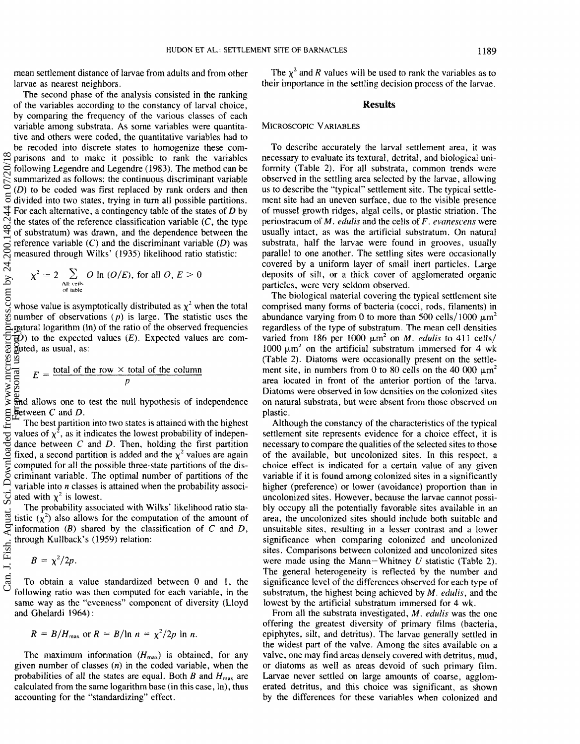mean settlement distance of larvae from adults and from other larvae as nearest neighbors.

The second phase of the analysis consisted in the ranking of the variables according to the constancy of larval choice, by comparing the frequency of the various classes of each variable among substrata. As some variables were quantitative and others were coded, the quantitative variables had to be recoded into discrete states to homogenize these comparisons and to make it possible to rank the variables following Legendre and Legendre (1983). The method can **be**  summarized as follows: the continuous discriminant variable **(68)** to be coded was first replaced by rank orders and then divided into two states, trying in turn all possible partitions. For each alternative, a contingency table of the states of **D** by the states of the reference classification variable  $(C,$  the type of substratum) was drawn, and the dependence between the reference variable **(C)** and the discriminant variable **(D)** was measured through Wilks' (1935) likelihood ratio statistic: SL/OCCO UO ptrC Sch. ColC. To Aquat. Science www.nrcress.com Personal personal use on wat only.nrc. personal use only.nrc. The condition of personal use only.nrc. http://www.nrc/2019/2019.html

$$
\chi^2 \simeq 2 \sum_{\substack{\text{All cells} \\ \text{of table}}} O \ln (O/E), \text{ for all } O, E > 0
$$

whose value is asymptotically distributed as  $\chi^2$  when the total number of observations  $(p)$  is large. The statistic uses the watural logarithm (in) of the ratio of the observed frequencies **(0)** to the expected values *(E).* Expected values are computed, as usual, as:

$$
E = \frac{\text{total of the row} \times \text{total of the column}}{p}
$$

and allows one to test the null hypothesis of independence between **C** and **B.** 

Thc best partition into two states is attained with the highest values of  $\chi^2$ , as it indicates the lowest probability of independance between @ and **D.** Then, holding the first partition fixed, a second partition is added and the  $\chi^2$  values are again computed for all the possible three-state partitions of the discriminant variable. The optimal number of partitions of thc variable into **n** classes is attained when the probability associated with  $\chi^2$  is lowest.

The probability associated with Wilks' likelihwd ratio sta-J. Fish. Aquat tistic  $(x^2)$  also allows for the computation of the amount of information **(B)** shared by the classification of *C* and **D,**  through Kullback's (1959) relation:

$$
B=\chi^2/2p.
$$

To obtain a value standardized between **0** and I, the following ratio was then computed for each variable, in the same way as the "evenness" component of diversity (Lloyd and Ghelardi 1964) :

$$
R = B/H_{\text{max}} \text{ or } R = B/\ln n = \chi^2/2p \ln n.
$$

The maximum information  $(H_{\text{max}})$  is obtained, for any given number of classes **(fa)** in the coded variable, when the probabilities of all the states are equal. Both *B* and  $H_{\text{max}}$  are calculated from the same logarithm base (in this case, In), thus accounting for the "standardizing" effect.

The  $\chi^2$  and *R* values will be used to rank the variables as to their importance in the settling decision process of the larvae.

### **Results**

#### MICROSCOPIC VARIABLES

To describe accurately the larval settlement area, it was necessary to evaluate its textural, detrital, and biological uniformity (Table 2). For all substrata, common trends were observed in the settling area selected by the larvae, allowing us to describe the "typical" settlement site. The typical settlement site had an uneven surface, due to the visible presence of mussel growth ridges, algal cells, or plastic striation. The periostracum of M. *edulis* and the cells of *F. evanescens* were usually intact, as was the artificial substratum. On natural substrata, half the larvae were found in grooves, usually parallel to one another. The settling sites were occasionally covered by a uniform layer of small inert particles. Large deposits of silt, or a thick cover of agglomerated organic particles, were very seldom observed.

The biological material covering the typical settlement site comprised many forms of bacteria (cocci. rods, filaments) in abundance varying from 0 to more than 500 cells/1000  $\mu$ m<sup>2</sup> regardless of the type of substratum. The mean cell densities varied from 186 per 1000  $\mu$ m<sup>2</sup> on *M*. *edulis* to 411 cells/ 1000  $\mu$ m<sup>2</sup> on the artificial substratum immersed for 4 wk (Table *2).* Diatoms were occasionally present on the settlement site, in numbers from 0 to 80 cells on the 40 000  $\mu$ m<sup>2</sup> area located in front of the anterior portion of the larva. Diatoms were observed in Iow densities on the colonized sites on natural substrata, but were absent from those observed on plastic.

Although the constancy of the characteristics of the typical settlement site represents evidence for a choice effect, it is necessary to compare the qualities of the selected sites to those of the available, but uncolonized sites. In this respect, a choice effect is indicated for a certain value of any given variable if it is found among colonized sites in a significantly higher (preference) or Iower (avoidance) proportion than in uncolonized sites. However, because the larvae cannot possibly occupy all the potentially favorable sites available in an area, the uncolonized sites should include both suitable and unsuitable sites, resulting in a lesser contrast and a lower significance when comparing colonized and uncolonized sites. Comparisons between colonized and uncolonized sites were made using the Mann-Whitncy **U** statistic (Table 2). The general heterogeneity is reflected by the number and significance level of the differences observed for each type of substratum, the highest being achieved by *M, edulis*, and the lowest by the artificial substratum immersed for 4 wk.

From all the substrata investigated, *M. edulis* was the one offering the greatest diversity of primary films (bacteria, epiphytes, silt, and detritus). The larvae generally settled in the widest part of the valve. Among the sites avaiiable on a valve, one may find areas densely covered with detritus, mud, or diatoms as well as areas devoid of such primary film. Larvae never settled on large amounts of coarse. agglomerated detritus, and this choice was significant. as shown by the differences for these variables when colonized and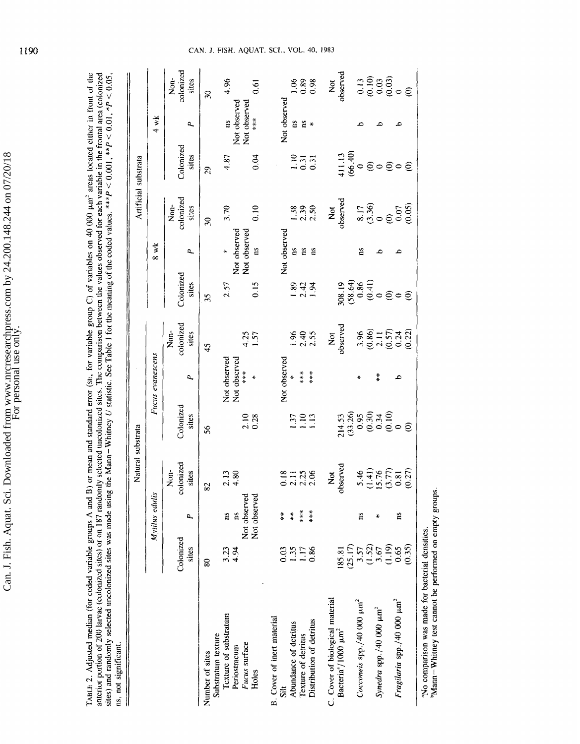TABLE 2. Adjusted median (for coded variable groups A and B) or mean and standard error (set. for variable group C) of variables on 40 000  $\mu$ m<sup>3</sup> areas located either in front of the anterior portion of 200 larvae (colo ns, not significant.

|                                                                                                            |                    |                    | Natural substrata                                      |                                                                                          |                          |                                                                             |                                                                                                  |                              | Artificial substrata                                                 |                                       |              |                                                               |
|------------------------------------------------------------------------------------------------------------|--------------------|--------------------|--------------------------------------------------------|------------------------------------------------------------------------------------------|--------------------------|-----------------------------------------------------------------------------|--------------------------------------------------------------------------------------------------|------------------------------|----------------------------------------------------------------------|---------------------------------------|--------------|---------------------------------------------------------------|
|                                                                                                            |                    | Mytilus edulis     |                                                        |                                                                                          | Fucus evanescens         |                                                                             |                                                                                                  | 8 wk                         |                                                                      |                                       | $4$ wk       |                                                               |
|                                                                                                            | Colonized<br>sites | ۵,                 | colonized<br>sites<br>$\sum_{i=1}^{n}$                 | Colonized<br>sites                                                                       | ٩                        | colonized<br>$\dot{\mathsf{g}}$<br>sites                                    | Colonized<br>sites                                                                               | Á,                           | Non-<br>colonized<br>sites                                           | Colonized<br>sites                    | ٩            | colonized<br>Non-<br>sites                                    |
| Number of sites                                                                                            | 80                 |                    | 82                                                     | \$6                                                                                      |                          | 45                                                                          | 35                                                                                               |                              | $\overline{30}$                                                      | 29                                    |              | $\frac{30}{2}$                                                |
| Texture of substratum<br>Substratum texture                                                                | ನೆ ತ್ವ<br>4.34     | ns                 | $2.13$<br>$4.80$                                       |                                                                                          | Not observed             |                                                                             | 2.57                                                                                             |                              | 3.70                                                                 | 4.87                                  | ns,          | 4.96                                                          |
| Fucus surface<br>Periostracum                                                                              |                    | Not observed<br>ns |                                                        |                                                                                          | Not observed<br>***<br>* |                                                                             |                                                                                                  | Not observed<br>Not observed |                                                                      |                                       | Not observed |                                                               |
| Holes                                                                                                      |                    | Not observed       |                                                        | 2.10<br>0.28                                                                             |                          | 1.57                                                                        | 0.15                                                                                             | <b>C</b>                     | 0.10                                                                 | 0.04                                  | Not observed | $\overline{6}$                                                |
| B. Cover of inert material<br>Sit                                                                          | 0.03               | $\ddot{*}$         |                                                        |                                                                                          | Not observed             |                                                                             |                                                                                                  | Not observed                 |                                                                      |                                       |              |                                                               |
| Abundance of detritus                                                                                      |                    | $\frac{m}{N}$      | 0.788                                                  |                                                                                          |                          |                                                                             |                                                                                                  |                              |                                                                      |                                       | Not observed |                                                               |
| Texture of detritus                                                                                        | 1.35               | $***$              |                                                        | 131<br>111<br>111                                                                        | $*$ $*$                  |                                                                             | $\frac{243}{14}$                                                                                 | a a a                        |                                                                      |                                       |              |                                                               |
| Distribution of detritus                                                                                   | 0.86               | ***                |                                                        |                                                                                          | $**$                     | $1.36$<br>$2.35$                                                            |                                                                                                  |                              | $1.38$<br>$2.30$                                                     | $\frac{18}{100}$                      |              | $\frac{888}{0.38}$                                            |
| C. Cover of biological material                                                                            |                    |                    | ž                                                      |                                                                                          |                          |                                                                             |                                                                                                  |                              |                                                                      |                                       |              |                                                               |
| Bacteria <sup>2</sup> /1000 µm <sup>2</sup>                                                                | 185.81             |                    | observed                                               |                                                                                          |                          | Not<br>bserved                                                              |                                                                                                  |                              | Not<br>bserved                                                       |                                       |              | Not<br>observed                                               |
| Cocconeis spp /40 000 $\mu$ m <sup>2</sup>                                                                 | (25.17)<br>3.57    | ΩŚ,                |                                                        | $214.53$<br>$(33.26)$<br>$(0.30, 34)$<br>$(0.30, 0.0)$<br>$(0.30, 0.0)$<br>$(0.30, 0.0)$ |                          |                                                                             | $88.4$<br>$88.4$<br>$88.4$<br>$88.4$<br>$89.4$<br>$89.4$<br>$89.4$<br>$89.4$<br>$89.4$<br>$89.4$ |                              |                                                                      | $411.13$<br>(6.40)<br>$9$ O O O O O O |              |                                                               |
|                                                                                                            | (1.52)             |                    | $5.46$<br>$(1.41)$<br>$(1.57)$<br>$(3.77)$<br>$(0.27)$ |                                                                                          |                          | $\begin{array}{c} 3.96 \\ 0.86 \\ 2.11 \\ 0.57 \\ 0.24 \\ 0.22 \end{array}$ |                                                                                                  | g                            | $\begin{array}{c} 8.17 \\ (3.36) \\ (0.07) \\ (0.07) \\ \end{array}$ |                                       |              | $\begin{array}{c} 13 \\ 0.10 \\ 0.03 \\ 0.000 \\ \end{array}$ |
| Synedra spp./40 000 $\mu$ m <sup>2</sup>                                                                   | 3.67               | ÷                  |                                                        |                                                                                          | $\frac{*}{*}$            |                                                                             |                                                                                                  |                              |                                                                      |                                       |              |                                                               |
|                                                                                                            | (1.19)             |                    |                                                        |                                                                                          |                          |                                                                             |                                                                                                  |                              |                                                                      |                                       |              |                                                               |
| Fragilaria spp./40 000 $\mu$ m <sup>2</sup>                                                                | 0.65               | ns                 |                                                        |                                                                                          | م                        |                                                                             |                                                                                                  |                              |                                                                      |                                       |              |                                                               |
|                                                                                                            | (0.35)             |                    |                                                        |                                                                                          |                          |                                                                             |                                                                                                  |                              |                                                                      |                                       |              |                                                               |
| Mann-Whitney test cannot be performed on empty groups.<br>"No comparison was made for bacterial densities. |                    |                    |                                                        |                                                                                          |                          |                                                                             |                                                                                                  |                              |                                                                      |                                       |              |                                                               |

**C4N. J. FBSM. AQUAT. SCB., VOL.** 40, **1983**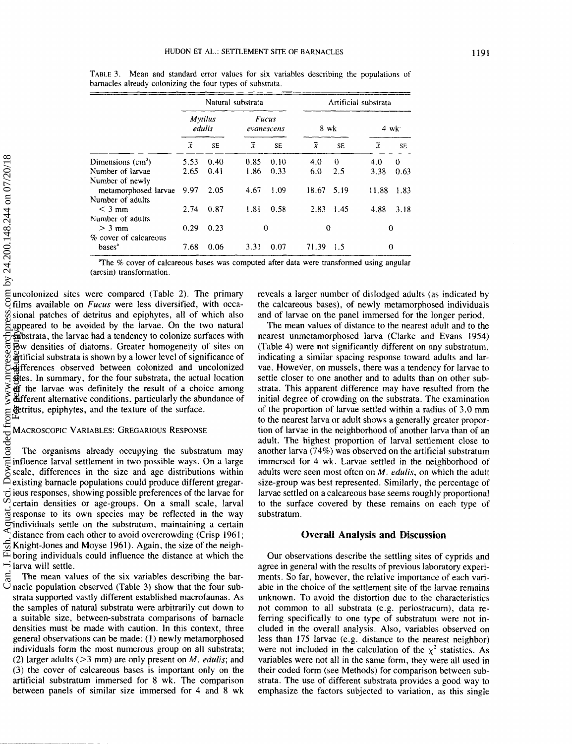|                       |      |                          | Natural substrata |                            |                |           | Artificial substrata |          |
|-----------------------|------|--------------------------|-------------------|----------------------------|----------------|-----------|----------------------|----------|
|                       |      | <b>Mytilus</b><br>edulis |                   | <b>Fucus</b><br>evanescens | 8 wk           |           |                      | $4$ wk   |
|                       | Х    | SE                       | ĩ                 | SE.                        | $\overline{x}$ | <b>SE</b> | $\overline{x}$       | SE       |
| Dimensions $(cm2)$    | 5.53 | 0.40                     | 0.85              | 0.10                       | 4.0            | $\Omega$  | 4.0                  | $\Omega$ |
| Number of larvae      | 2.65 | 0.41                     | 1.86              | 0.33                       | 6.0            | 2.5       | 3.38                 | 0.63     |
| Number of newly       |      |                          |                   |                            |                |           |                      |          |
| metamorphosed larvae  | 9.97 | 2.05                     | 4.67              | 1.09                       | 18.67          | 5.19      | 11.88                | 1.83     |
| Number of adults      |      |                          |                   |                            |                |           |                      |          |
| $<$ 3 mm              | 2.74 | 0.87                     | 1.81              | 0.58                       | 2.83           | 1.45      | 4.88                 | 3.18     |
| Number of adults      |      |                          |                   |                            |                |           |                      |          |
| $> 3$ mm              | 0.29 | 0.23                     | 0                 |                            | $\theta$       |           | $\Omega$             |          |
| % cover of calcareous |      |                          |                   |                            |                |           |                      |          |
| bases <sup>2</sup>    | 7.68 | 0.06                     | 3.31              | 0.07                       | 71.39          | 1.5       | $\boldsymbol{0}$     |          |
|                       |      |                          |                   |                            |                |           |                      |          |

**TABLE 3.** Mean and standard error values for six variables describing the populations of barnacles already colonizing the four types of substrata.

The **5%** cover of calcareous bases was computed after data were transformed using angular (arcsin) transformation.

uncolonized sites were compared (Table 2). The primary films available on *Fucus* were less diversified, with occasional patches of detritus and epiphytes, all of which also appeared to be avoided by the larvae. On the two natural substrata, the larvae had a tendency to colonize surfaces with low densities of diatoms. Greater homogeneity of sites on artificial substrata is shown by a lower level of significance of differences observed between colonized and uncolonized  $\overline{5}$  differences observed between colonized and uncolonized  $\overline{5}$  differences observed between colonized and uncolonized of the larvae was definitely the result of a choice among different alternative conditions, particularly the abundance of detritus, epiphytes. and the texture of the surface.

The organisms already occupying the substratum may influence larval settlement in two possible ways. On a large scale, differences in the size and age distributions within existing barnacle populations could produce different gregarious responses, showing possible preferences of the larvae for certain densities or age-groups. On a small scale, larval response to its own species **may** be reflected in the way individuals settle on the substratum, maintaining a certain<br>distance from each other to avoid overcrowding (Crisp 1961;  $\frac{1}{29}$  Knight-Jones and Moyse 1961). Again, the size of the neigh- $E$  boring individuals could influence the distance at which the  $\rightarrow$  larva will settle.

The mean values of the six variables describing the barnacle population observed (Table **3)** show that the four substrata supported vastly different established macrofaunas. As the samples of natural substrata were arbitrarily cut down to a suitable size, between-substrata comparisons of barnacle densities must be made with caution. In this context, three general observations can be made: **(I)** newly metamorphosed individuals form the most numerous group on all substrata;  $(2)$  larger adults  $(>3$  mm) are only present on *M. edulis*; and *(3)* the cover of calcareous bases is important only on the artificial substratum immersed for 8 wk. The comparison between panels of similar size immersed for 4 and 8 wk

reveals a larger number of dislodged adults (as indicated by the calcareous bases), of newly metamorphosed individuals and of larvae on the panel immersed for the longer period.

The mean values of distance to the nearest adult and to the nearest unmetamorphosed larva (Clarke and Evans 1954) (Table 4) were not significantly different on any substratum, indicating a similar spacing response toward adults and larvae. However, on mussels, there was a tendency for larvae to settle closer to one another and to adults than on other substrata. This apparent difference may have resuited frorn the initial degree of crowding on the substrata. The examination of the proportion of larvae settled within a radius of 3.0 mm to the nearest larva or adult shows a generally greater proportion of larvae in the neighborhood of another larva than of an adult. The highest proportion of larval settlement close to another larva (74%) was observed on the artificial substratum immersed for 4 wk. Larvae settled in the neighborhood of adults were seen most often on *M. edulis,* on which the adult size-group was best represented. Similarly, thc percentage of larvae settled on a calcareous base seems roughly proportional to the surface covered by these remains on each type of substratum.

### **Overall Analysis and Discussion**

Our observations describe the settling sites of cyprids and agree in general with the results of previous Iaboratory experiments. So far, however, the relative importance of each variable in the choice of the settlement site of the larvae remains unknown. To avoid the distortion due to the characteristics not common to all substrata (e.g. periostracum), data referring specifically to one type of substratum were not included in the overall analysis. Also, variables observed on less than 175 larvae (e.g. distance to the nearest neighbor) were not included in the calculation of the  $\chi^2$  statistics. As variables were not all in the same form, they were all used in their coded form (see Methods) for comparison between substrata. The use of different substrata provides a good way to emphasize the factors subjected to variation, as this single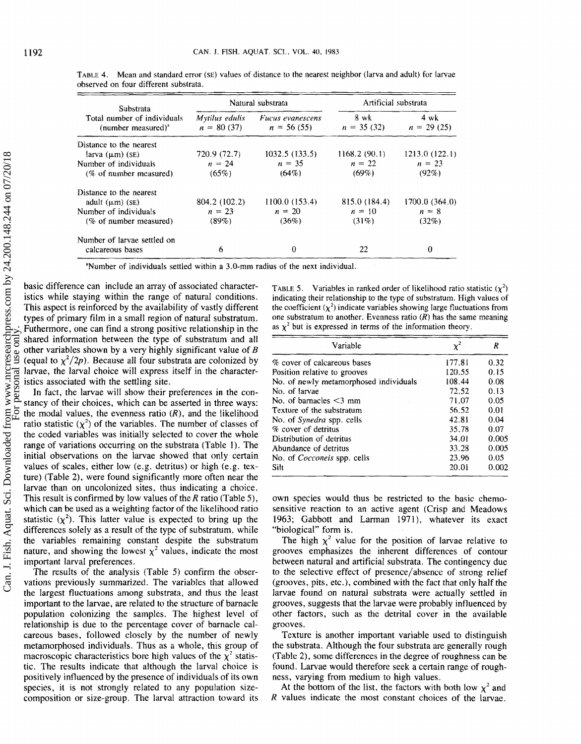| Substrata                                                   |                                | Natural substrata                       | Artificial substrata |                                |
|-------------------------------------------------------------|--------------------------------|-----------------------------------------|----------------------|--------------------------------|
| Total number of individuals<br>(number measured) $^{\circ}$ | Mytilus edulis<br>$n = 80(37)$ | <i>Fucus evanescens</i><br>$n = 56(55)$ | 8 wk<br>$n = 35(32)$ | $4 \text{ wk}$<br>$n = 29(25)$ |
| Distance to the nearest                                     |                                |                                         |                      |                                |
| larva $(\mu m)$ (SE)                                        | 720.9 (72.7)                   | 1032.5(133.5)                           | 1168.2(90.1)         | 1213.0(122.1)                  |
| Number of individuals                                       | $n = 24$                       | $n = 35$                                | $n = 22$             | $n = 23$                       |
| (% of number measured)                                      | $(65\%)$                       | $(64\%)$                                | $(69\%)$             | (92%)                          |
| Distance to the nearest                                     |                                |                                         |                      |                                |
| adult $(\mu m)$ (SE)                                        | 804.2 (102.2)                  | 1100.0(153.4)                           | 815.0 (184.4)        | 1700.0 (364.0)                 |
| Number of individuals                                       | $n = 23$                       | $n = 20$                                | $n = 10$             | $n = 8$                        |
| (% of number measured)                                      | $(89\%)$                       | (36%)                                   | $(31\%)$             | (32%)                          |
| Number of larvae settled on                                 |                                |                                         |                      |                                |
| calcareous bases                                            | 6                              | o                                       | 22                   | 0                              |

**TABLE 4.** Mean and standard error (SE) values of distance to the nearest neighbor (larva and adult) for larvae **observed on four different substrata.** 

<sup>a</sup>Number of individuals settled within a 3.0-mm radius of the next individual.

basic difference can include an array of associated characteristics while staying within the range of natural conditions. This aspect is reinforced by the availability of vastly different types of primary film in a small region of natural substratum. Futhermore, one can find a strong positive relationship in the shared information between the type of substratum and all other variables shown by a very highly significant value of *B*  (equal to  $\chi^2/2p$ ). Because all four substrata are colonized by larvae, the larval choice will express itself in the characteristics associated with the settling site.

In fact, the larvae will show their preferences in the constancy of their choices, which can be asserted in three ways: the modal values, the evenness ratio  $(R)$ , and the likelihood ratio statistic  $(\chi^2)$  of the variables. The number of classes of the coded variables was initially selected to cover the whole range of variations occurring on the substrata (Table 1). The initial observations on the larvae showed that only certain values of scales, either low (e.g. detritus) or high (e.g. texture) (Table 2), were found significantly more often near the larvae than on uncolonized sites, thus indicating a choice. This result is confirmed by low values of the  $R$  ratio (Table 5), which can be used as a weighting factor of the likelihood ratio statistic  $(\chi^2)$ . This latter value is expected to bring up the differences solely as a result of the type of substratum, while the variables remaining constant despite the substratum nature, and showing the lowest  $\chi^2$  values, indicate the most important larval preferences.

The results of the analysis (Table 5) confirm the observations previously summarized. The variables that allowed the largest fluctuations among substrata, and thus the least important to the larvae, are related to the structure of barnacle population colonizing the samples. The highest level of relationship is due to the percentage cover of barnacle calcareous bases, followed closely by the number of newly metamorphosed individuals. Thus as a whole, this group of macroscopic characteristics bore high values of the  $\chi^2$  statistic. The results indicate that although the larval choice is positively influenced by the presence of individuals of its own species, it is not strongly related to any population sizecomposition or size-group, The larval attraction toward its

**TABLE 5.** Variables in ranked order of likelihood ratio statistic  $(\chi^2)$ **indicating their relationship to the type** of **substratum. High values of**  the coefficient  $(\chi^2)$  indicate variables showing large fluctuations from one substratum to another. Evenness ratio  $(R)$  has the same meaning as  $\chi^2$  but is expressed in terms of the information theory.

| Variable                               | $\chi^2$ | R     |
|----------------------------------------|----------|-------|
| % cover of calcareous bases            | 177.81   | 0.32  |
| Position relative to grooves           | 120.55   | 0.15  |
| No. of newly metamorphosed individuals | 108.44   | 0.08  |
| No. of larvae                          | 72.52    | 0.13  |
| No. of barnacles $\leq$ 3 mm           | 71.07    | 0.05  |
| Texture of the substratum              | 56.52    | 0.01  |
| No. of Synedra spp. cells              | 42.81    | 0.04  |
| % cover of detritus                    | 35.78    | 0.07  |
| Distribution of detritus               | 34.01    | 0.005 |
| Abundance of detritus                  | 33.28    | 0.005 |
| No. of <i>Cocconeis</i> spp. cells     | 23.96    | 0.05  |
| Silt                                   | 20.01    | 0.002 |

own species would thus be restricted to the basic chemosensitive reaction to an active agent (Crisp and Meadows 1963; Gabbott and Larman 1971), whatever its exact "bioIogical" form is.

The high  $\chi^2$  value for the position of larvae relative to grooves emphasizes the inherent differences of contour between natural and artificial substrata. The contingency due to the selective effect of presence/absence of strong relief (grooves, pits, etc.), combined with the fact that only half the larvae found on natural substrata were actually settled in grooves. suggests that the larvae were probably influenced by other factors, such as the detrital cover in the available grooves.

Texture is another important variable used to distinguish the substrata. Although the four substrata are generally rough (Table **2),** some differences in the degree of roughness can be found. Larvae would therefore seek a certain range of roughness, varying from medium to high values.

At the bottom of the list, the factors with both low  $\chi^2$  and *R* values indicate the most constant choices of the larvae.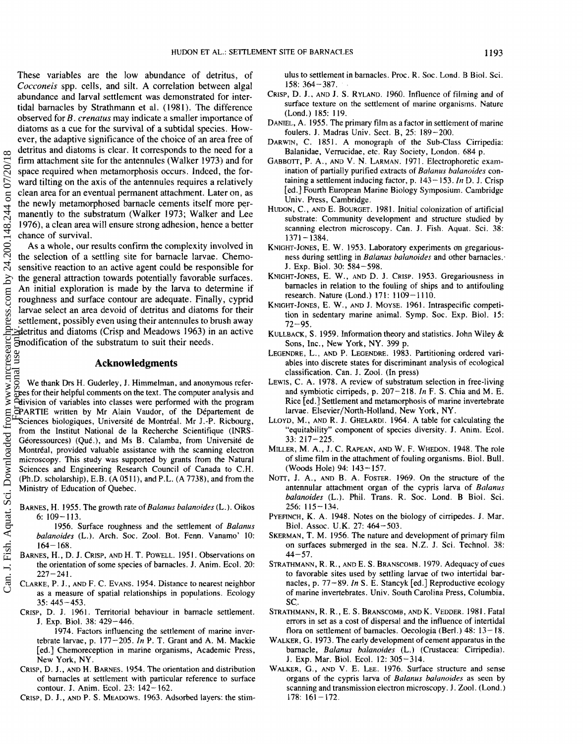These variables are the low abundance of detritus, of *Cocconeis* **spp.** cells, and silt. A correlation between algal abundance and larval settlement was demonstrated for intertidal barnacles by Strathmann et al. (1981). The difference observed for **B.** *crentatus* may indicate a smaller importance of diatoms as a cue for the survival of a subtidal species. How-<br>ever, the adaptive significance of the choice of an area free of ever, the adaptive significance of the choice of an area free of detritus and diatoms is clear. ilt corresponds to the need for a firm attachment site for the antennules (Walker 1973) and for space required when metamorphosis occurs. indeed, the forward tilting on the axis of the antennules requires a relatively clean area for an eventual permanent attachment. Later on, as the newly metamorphosed barnacle cements itself more perrnanently to the substratum (Walker 1973; Walker and Lee 1976), a clean area will ensure strong adhesion, hence a better chance of survival.

As a whole, our results confirm the complexity involved in the selection of a settling site for barnacle larvae. Chemosensitive reaction to an active agent could be responsible for the general attraction towards potentially favorable surfaces. An initial exploration is made by the larva to determine if roughness and surface contour are adequate. Finally, cyprid larvae select an area devoid of detritus and diatoms for their settlement, possibly even using their antennules to brush away detritus and diatoms (Crisp and Meadows 1963) in an active modification of the substratum to suit their needs.

We thank Drs H. Suderley, J. Himmelman, and anonymous referees for their heIpfui comments om the text. The computer analysis and division of variables into classes were performed with the program PARTIE written by Mr Alain Vaudor, of the Département de SCIENTIE written by Mr Alain Vaudor, of the Département de<br>Exciences biologiques, Université de Montréal. Mr J.-P. Ricbourg, from the Institut National de la Recherche Scientifique (HNRS-Géoressources) (Qué.), and Ms B. Calamba, from Université de Momtr6a1, provided valuable assistance with the scanning electron microscopy. This study was supported by grants from the Natural Sciences and Engineering Research Council of Canada to C.H. **(Ph.D.** scholarship). E.B. (A 05 1 **B),** and P.L. (A 7738), and from the Ministry of Education of Quebec.

BARNES, H. 1955. The growth rate of *Balanus balanoides* (L.). Oikos 6:  $109 - 113$ .

1956. Surface roughness and the settlement of *Balapaus*  balanoides (L.). Arch. Soc. Zool. Bot. Fenn. Vanamo' 10:  $164 - 168$ .

- BARNES, H., D. J. CRISP, AND H. T. POWELL. 1951. Observations on the orientation of some species of barnacles. J. Anim. Ecol. 20:  $227 - 241$ .
- CLARKE, P.I., AND **F.** C. EVANS. 1954. Distance to nearest neighbor as a measure of spatial relationships in popuiations. Ecology 35: 445-453.
- CRISP, D. **1.** 1961. Territorial behaviour in barnacle settlement. J. Exp. Biol. 38: 429-446.
	- 1974. Factors influencing the settlement of marine invertebrate larvae, p. 177-205. **Hn P.** T. Grant and A. **ha.** Mackie [ed.] Chemoreception in marine organisms, Academic Press, New York, NY.
- CRISP, D. J., AND H. BARNES. I954. The orientation and distribution of barnacles at settlement with particular reference to surface contour. J. Anim. Ecol. 23: 142-162.

CRISP, D. J., AND P. S. MEADOWS. 1963. Adsorbed layers: the stim-

ulus to settlement in barnacles. Pmc. **W.** Soc. Lond. **B** Biol. Sci. 158: 364-387.

- CRISP, D. J.. AND J. S. RYLAND. 1960. Influence of filming and of surface texture on the settlement of marine organisms. Nature (Lond.) 185: 119.
- DANIEL, A. 1955. The primary film as a factor in settlement of marine foulers. J. Madras Univ. Sect. B, 25: 189-200.
- DARWIN, C. 1851. A monograph of the Sub-Class Cirripedia: Balanidae, Verrucidae, etc. Ray Society, London. 684 p.
- **GABBOTT, P.** A., AND V. **N.** LARMAN. 197 1. Electrophoretic examination of partially purified extracts of *Balanus balanoides* containing a settlement inducing factor, p.  $143 - 153$ . In D. J. Crisp [ed.] Fourth European Marine Biology Symposium. Cambridge Univ, Press. Cambridge.
- HUDON, C., AND E. BOURGET. 1981. Initial colonization of artificial substrate: Community development and structure studied by scanning electron microscopy. Can. J. Fish. Aquat. Sci. 38: 1371-1384.
- KNIGHT-JONES, E. W. 1953. Laboratory experiments on gregariousness during settling in *Balanus balanoides* and other barnacles. J. Exp. Biol. **38:** 584-598.
- KNIGHT-JONES, **E.** W., AND D. **J.** CRISP. 1953. Gregariousness in barnacles in relation to the fouling of ships and to antifouling research. Nature (Lond.)  $171: 1109 - 1110$ .
- KNIGHT-JONES, E. W., AND J. MOYSE. 1961. Intraspecific competition in sedentary marine animal. Symp. Soc. Exp. Biol. 15:  $72 - 95.$
- KULLBAGK, S. 1959. Information theory and statistics. John Wiley & Sons, lnc., New York, **NY.** 399 **p.**
- LEGENDRE, L., AND **P.** LEGENDRE. 1983. Partitioning ordered variables into discrete states for discriminant analysis of ecological classification. Can. **J.** Zoo!. (In press)
- LEWIS. C. **A.** 1978. A review of substratum selection in free-living and symbiotic cirripeds, p. 267-218. *In* F. S. Chia and M. E. Rice [ed.] Settlement and metamorphosis of marine invertebrate larvae. Elsevier/North-Holland, New York, NY.
- LLOYD, M., AND R. **J.** GHELAWDI. 1964. **A** table for calculating the "equitability" component of species diversity. J. Anim. Ecol. 33: 217-225.
- MILLER, **M.** A., J. C. RAPEAN. AND W. F. WHEDON. 1948. The role of slime film in the attachment of fouling organisms. Biol. Bull. (Woods Hole) 94: 143-157.
- NOTT, J. A., AND B. A. FOSTER. 1969. On the structure of the antennular attachment organ of the cypris larva of *Balanus balanoides* (k.). Phil. Trans. **8.** Soc. kond. B Biol. Sci, 256: 115-134.
- PYEFINCH, K. A. 1948. Notes on the biology of cirripedes. **J. Mar.** Biol. Assoc. U.K. 27: 464-503.
- SKERMAN, T. M. 1956. The nature and development of primary film on surfaces submerged in the sea. N.Z. J. Sci. Technol. 38:  $44 - 57$ .
- STRATHMANN, R. R., AND E. S. BRANSCOMB. 1979. Adequacy of cues to favorable sites used by settling larvae of two intertidal barnacles, p.  $77-89$ . *In* S. E. Stancyk [ed.] Reproductive ecology of marine invertebrates. Univ. South Carolina Press, Columbia, SC.
- STRATHMANN, R. R., E. S. BRANSCOMB, AND K. VEDDER. 1981. Fatal errors in set as a cost of dispersal and the influence of intertidal flora on settlement of barnacles. Oecologia (Berl.) 48: 13-18.
- WALKER, G. 1973. The early development of cement apparatus in the barnacle, *Balanus balanoides* (L.) (Crustacea: Cirripedia). J. Exp. Mar. Biol. Ecol. 12: 305-314.
- WALKER, *G.,* AND V. E. LEE. 1976. Surface structure and sense organs of the cypris larva of *Bnlanus balanoides* as seen by scanning and transmission electron microscopy. J. Zool. (Lond.)  $178: 161 - 172.$